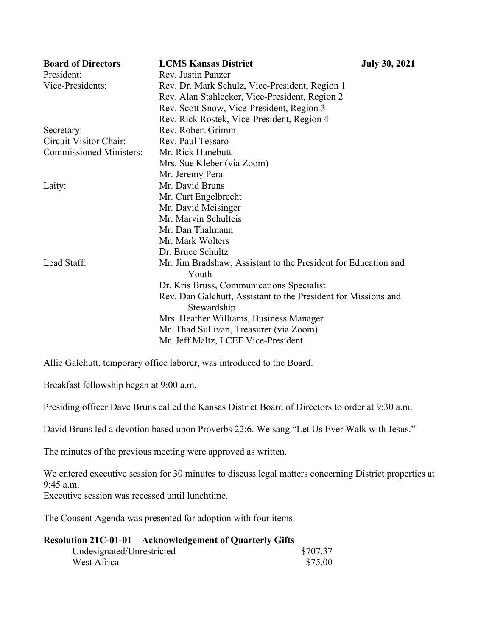| <b>Board of Directors</b>      | <b>LCMS Kansas District</b>                                                   | <b>July 30, 2021</b> |
|--------------------------------|-------------------------------------------------------------------------------|----------------------|
| President:                     | Rev. Justin Panzer                                                            |                      |
| Vice-Presidents:               | Rev. Dr. Mark Schulz, Vice-President, Region 1                                |                      |
|                                | Rev. Alan Stahlecker, Vice-President, Region 2                                |                      |
|                                | Rev. Scott Snow, Vice-President, Region 3                                     |                      |
|                                | Rev. Rick Rostek, Vice-President, Region 4                                    |                      |
| Secretary:                     | Rev. Robert Grimm                                                             |                      |
| Circuit Visitor Chair:         | Rev. Paul Tessaro                                                             |                      |
| <b>Commissioned Ministers:</b> | Mr. Rick Hanebutt                                                             |                      |
|                                | Mrs. Sue Kleber (via Zoom)                                                    |                      |
|                                | Mr. Jeremy Pera                                                               |                      |
| Laity:                         | Mr. David Bruns                                                               |                      |
|                                | Mr. Curt Engelbrecht                                                          |                      |
|                                | Mr. David Meisinger                                                           |                      |
|                                | Mr. Marvin Schulteis                                                          |                      |
|                                | Mr. Dan Thalmann                                                              |                      |
|                                | Mr. Mark Wolters                                                              |                      |
|                                | Dr. Bruce Schultz                                                             |                      |
| Lead Staff:                    | Mr. Jim Bradshaw, Assistant to the President for Education and<br>Youth       |                      |
|                                | Dr. Kris Bruss, Communications Specialist                                     |                      |
|                                | Rev. Dan Galchutt, Assistant to the President for Missions and<br>Stewardship |                      |
|                                | Mrs. Heather Williams, Business Manager                                       |                      |
|                                | Mr. Thad Sullivan, Treasurer (via Zoom)                                       |                      |
|                                | Mr. Jeff Maltz, LCEF Vice-President                                           |                      |

Allie Galchutt, temporary office laborer, was introduced to the Board.

Breakfast fellowship began at 9:00 a.m.

Presiding officer Dave Bruns called the Kansas District Board of Directors to order at 9:30 a.m.

David Bruns led a devotion based upon Proverbs 22:6. We sang "Let Us Ever Walk with Jesus."

The minutes of the previous meeting were approved as written.

We entered executive session for 30 minutes to discuss legal matters concerning District properties at 9:45 a.m.

Executive session was recessed until lunchtime.

The Consent Agenda was presented for adoption with four items.

| <b>Resolution 21C-01-01 – Acknowledgement of Quarterly Gifts</b> |          |  |  |
|------------------------------------------------------------------|----------|--|--|
| Undesignated/Unrestricted                                        | \$707.37 |  |  |
| West Africa                                                      | \$75.00  |  |  |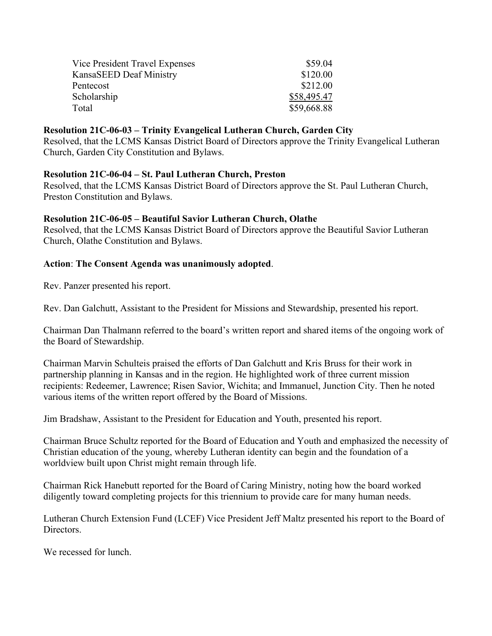| Vice President Travel Expenses | \$59.04     |
|--------------------------------|-------------|
| KansaSEED Deaf Ministry        | \$120.00    |
| Pentecost                      | \$212.00    |
| Scholarship                    | \$58,495.47 |
| Total                          | \$59,668.88 |

#### **Resolution 21C-06-03 – Trinity Evangelical Lutheran Church, Garden City**

Resolved, that the LCMS Kansas District Board of Directors approve the Trinity Evangelical Lutheran Church, Garden City Constitution and Bylaws.

#### **Resolution 21C-06-04 – St. Paul Lutheran Church, Preston**

Resolved, that the LCMS Kansas District Board of Directors approve the St. Paul Lutheran Church, Preston Constitution and Bylaws.

#### **Resolution 21C-06-05 – Beautiful Savior Lutheran Church, Olathe**

Resolved, that the LCMS Kansas District Board of Directors approve the Beautiful Savior Lutheran Church, Olathe Constitution and Bylaws.

#### **Action**: **The Consent Agenda was unanimously adopted**.

Rev. Panzer presented his report.

Rev. Dan Galchutt, Assistant to the President for Missions and Stewardship, presented his report.

Chairman Dan Thalmann referred to the board's written report and shared items of the ongoing work of the Board of Stewardship.

Chairman Marvin Schulteis praised the efforts of Dan Galchutt and Kris Bruss for their work in partnership planning in Kansas and in the region. He highlighted work of three current mission recipients: Redeemer, Lawrence; Risen Savior, Wichita; and Immanuel, Junction City. Then he noted various items of the written report offered by the Board of Missions.

Jim Bradshaw, Assistant to the President for Education and Youth, presented his report.

Chairman Bruce Schultz reported for the Board of Education and Youth and emphasized the necessity of Christian education of the young, whereby Lutheran identity can begin and the foundation of a worldview built upon Christ might remain through life.

Chairman Rick Hanebutt reported for the Board of Caring Ministry, noting how the board worked diligently toward completing projects for this triennium to provide care for many human needs.

Lutheran Church Extension Fund (LCEF) Vice President Jeff Maltz presented his report to the Board of Directors.

We recessed for lunch.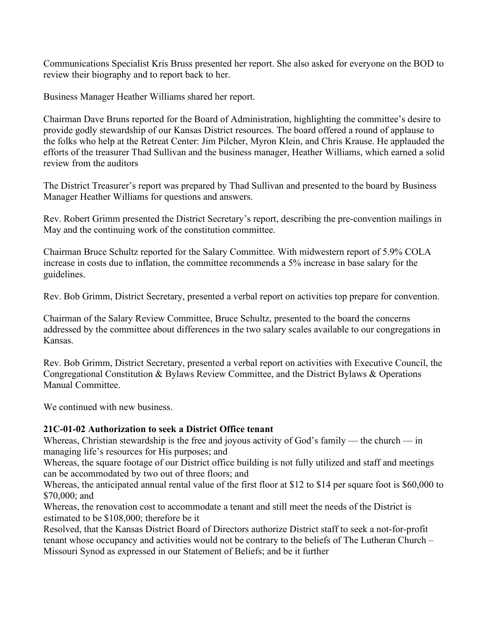Communications Specialist Kris Bruss presented her report. She also asked for everyone on the BOD to review their biography and to report back to her.

Business Manager Heather Williams shared her report.

Chairman Dave Bruns reported for the Board of Administration, highlighting the committee's desire to provide godly stewardship of our Kansas District resources. The board offered a round of applause to the folks who help at the Retreat Center: Jim Pilcher, Myron Klein, and Chris Krause. He applauded the efforts of the treasurer Thad Sullivan and the business manager, Heather Williams, which earned a solid review from the auditors

The District Treasurer's report was prepared by Thad Sullivan and presented to the board by Business Manager Heather Williams for questions and answers.

Rev. Robert Grimm presented the District Secretary's report, describing the pre-convention mailings in May and the continuing work of the constitution committee.

Chairman Bruce Schultz reported for the Salary Committee. With midwestern report of 5.9% COLA increase in costs due to inflation, the committee recommends a 5% increase in base salary for the guidelines.

Rev. Bob Grimm, District Secretary, presented a verbal report on activities top prepare for convention.

Chairman of the Salary Review Committee, Bruce Schultz, presented to the board the concerns addressed by the committee about differences in the two salary scales available to our congregations in Kansas.

Rev. Bob Grimm, District Secretary, presented a verbal report on activities with Executive Council, the Congregational Constitution & Bylaws Review Committee, and the District Bylaws & Operations Manual Committee.

We continued with new business.

#### **21C-01-02 Authorization to seek a District Office tenant**

Whereas, Christian stewardship is the free and joyous activity of God's family — the church — in managing life's resources for His purposes; and

Whereas, the square footage of our District office building is not fully utilized and staff and meetings can be accommodated by two out of three floors; and

Whereas, the anticipated annual rental value of the first floor at \$12 to \$14 per square foot is \$60,000 to \$70,000; and

Whereas, the renovation cost to accommodate a tenant and still meet the needs of the District is estimated to be \$108,000; therefore be it

Resolved, that the Kansas District Board of Directors authorize District staff to seek a not-for-profit tenant whose occupancy and activities would not be contrary to the beliefs of The Lutheran Church – Missouri Synod as expressed in our Statement of Beliefs; and be it further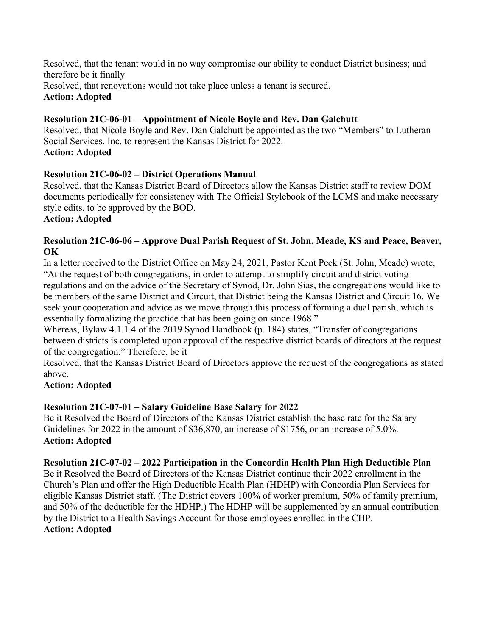Resolved, that the tenant would in no way compromise our ability to conduct District business; and therefore be it finally Resolved, that renovations would not take place unless a tenant is secured. **Action: Adopted**

# **Resolution 21C-06-01 – Appointment of Nicole Boyle and Rev. Dan Galchutt**

Resolved, that Nicole Boyle and Rev. Dan Galchutt be appointed as the two "Members" to Lutheran Social Services, Inc. to represent the Kansas District for 2022. **Action: Adopted**

## **Resolution 21C-06-02 – District Operations Manual**

Resolved, that the Kansas District Board of Directors allow the Kansas District staff to review DOM documents periodically for consistency with The Official Stylebook of the LCMS and make necessary style edits, to be approved by the BOD.

#### **Action: Adopted**

## **Resolution 21C-06-06 – Approve Dual Parish Request of St. John, Meade, KS and Peace, Beaver, OK**

In a letter received to the District Office on May 24, 2021, Pastor Kent Peck (St. John, Meade) wrote, "At the request of both congregations, in order to attempt to simplify circuit and district voting regulations and on the advice of the Secretary of Synod, Dr. John Sias, the congregations would like to be members of the same District and Circuit, that District being the Kansas District and Circuit 16. We seek your cooperation and advice as we move through this process of forming a dual parish, which is essentially formalizing the practice that has been going on since 1968."

Whereas, Bylaw 4.1.1.4 of the 2019 Synod Handbook (p. 184) states, "Transfer of congregations between districts is completed upon approval of the respective district boards of directors at the request of the congregation." Therefore, be it

Resolved, that the Kansas District Board of Directors approve the request of the congregations as stated above.

## **Action: Adopted**

## **Resolution 21C-07-01 – Salary Guideline Base Salary for 2022**

Be it Resolved the Board of Directors of the Kansas District establish the base rate for the Salary Guidelines for 2022 in the amount of \$36,870, an increase of \$1756, or an increase of 5.0%. **Action: Adopted**

## **Resolution 21C-07-02 – 2022 Participation in the Concordia Health Plan High Deductible Plan**

Be it Resolved the Board of Directors of the Kansas District continue their 2022 enrollment in the Church's Plan and offer the High Deductible Health Plan (HDHP) with Concordia Plan Services for eligible Kansas District staff. (The District covers 100% of worker premium, 50% of family premium, and 50% of the deductible for the HDHP.) The HDHP will be supplemented by an annual contribution by the District to a Health Savings Account for those employees enrolled in the CHP.

# **Action: Adopted**